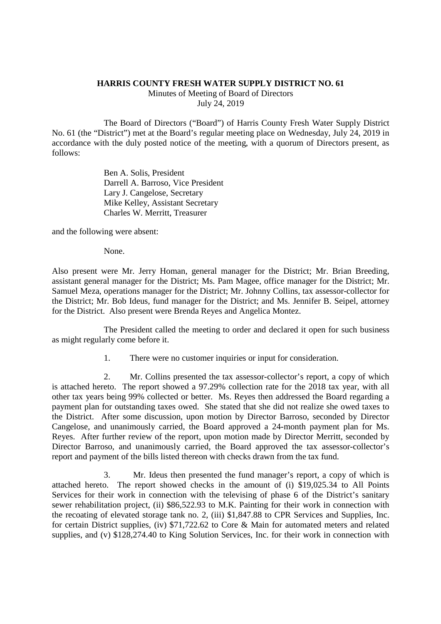## **HARRIS COUNTY FRESH WATER SUPPLY DISTRICT NO. 61**

Minutes of Meeting of Board of Directors July 24, 2019

The Board of Directors ("Board") of Harris County Fresh Water Supply District No. 61 (the "District") met at the Board's regular meeting place on Wednesday, July 24, 2019 in accordance with the duly posted notice of the meeting, with a quorum of Directors present, as follows:

> Ben A. Solis, President Darrell A. Barroso, Vice President Lary J. Cangelose, Secretary Mike Kelley, Assistant Secretary Charles W. Merritt, Treasurer

and the following were absent:

None.

Also present were Mr. Jerry Homan, general manager for the District; Mr. Brian Breeding, assistant general manager for the District; Ms. Pam Magee, office manager for the District; Mr. Samuel Meza, operations manager for the District; Mr. Johnny Collins, tax assessor-collector for the District; Mr. Bob Ideus, fund manager for the District; and Ms. Jennifer B. Seipel, attorney for the District. Also present were Brenda Reyes and Angelica Montez.

The President called the meeting to order and declared it open for such business as might regularly come before it.

1. There were no customer inquiries or input for consideration.

2. Mr. Collins presented the tax assessor-collector's report, a copy of which is attached hereto. The report showed a 97.29% collection rate for the 2018 tax year, with all other tax years being 99% collected or better. Ms. Reyes then addressed the Board regarding a payment plan for outstanding taxes owed. She stated that she did not realize she owed taxes to the District. After some discussion, upon motion by Director Barroso, seconded by Director Cangelose, and unanimously carried, the Board approved a 24-month payment plan for Ms. Reyes. After further review of the report, upon motion made by Director Merritt, seconded by Director Barroso, and unanimously carried, the Board approved the tax assessor-collector's report and payment of the bills listed thereon with checks drawn from the tax fund.

3. Mr. Ideus then presented the fund manager's report, a copy of which is attached hereto. The report showed checks in the amount of (i) \$19,025.34 to All Points Services for their work in connection with the televising of phase 6 of the District's sanitary sewer rehabilitation project, (ii) \$86,522.93 to M.K. Painting for their work in connection with the recoating of elevated storage tank no. 2, (iii) \$1,847.88 to CPR Services and Supplies, Inc. for certain District supplies, (iv) \$71,722.62 to Core & Main for automated meters and related supplies, and (v) \$128,274.40 to King Solution Services, Inc. for their work in connection with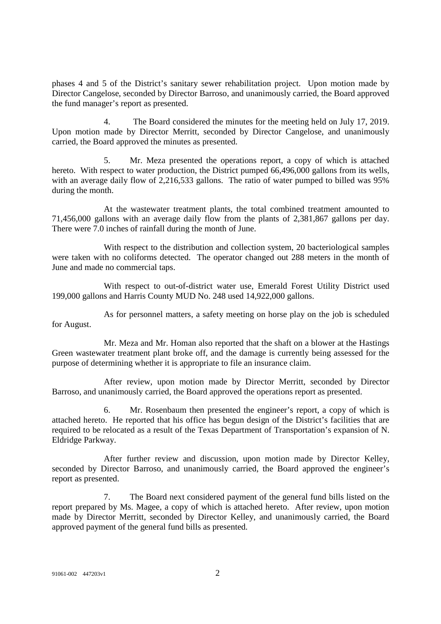phases 4 and 5 of the District's sanitary sewer rehabilitation project. Upon motion made by Director Cangelose, seconded by Director Barroso, and unanimously carried, the Board approved the fund manager's report as presented.

4. The Board considered the minutes for the meeting held on July 17, 2019. Upon motion made by Director Merritt, seconded by Director Cangelose, and unanimously carried, the Board approved the minutes as presented.

5. Mr. Meza presented the operations report, a copy of which is attached hereto. With respect to water production, the District pumped 66,496,000 gallons from its wells, with an average daily flow of 2,216,533 gallons. The ratio of water pumped to billed was 95% during the month.

At the wastewater treatment plants, the total combined treatment amounted to 71,456,000 gallons with an average daily flow from the plants of 2,381,867 gallons per day. There were 7.0 inches of rainfall during the month of June.

With respect to the distribution and collection system, 20 bacteriological samples were taken with no coliforms detected. The operator changed out 288 meters in the month of June and made no commercial taps.

With respect to out-of-district water use, Emerald Forest Utility District used 199,000 gallons and Harris County MUD No. 248 used 14,922,000 gallons.

As for personnel matters, a safety meeting on horse play on the job is scheduled for August.

Mr. Meza and Mr. Homan also reported that the shaft on a blower at the Hastings Green wastewater treatment plant broke off, and the damage is currently being assessed for the purpose of determining whether it is appropriate to file an insurance claim.

After review, upon motion made by Director Merritt, seconded by Director Barroso, and unanimously carried, the Board approved the operations report as presented.

6. Mr. Rosenbaum then presented the engineer's report, a copy of which is attached hereto. He reported that his office has begun design of the District's facilities that are required to be relocated as a result of the Texas Department of Transportation's expansion of N. Eldridge Parkway.

After further review and discussion, upon motion made by Director Kelley, seconded by Director Barroso, and unanimously carried, the Board approved the engineer's report as presented.

7. The Board next considered payment of the general fund bills listed on the report prepared by Ms. Magee, a copy of which is attached hereto. After review, upon motion made by Director Merritt, seconded by Director Kelley, and unanimously carried, the Board approved payment of the general fund bills as presented.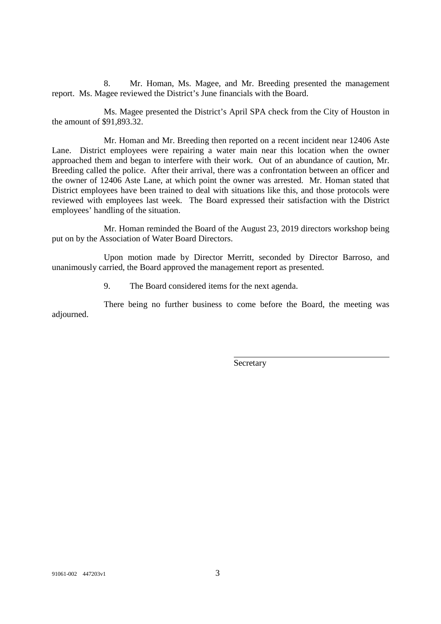8. Mr. Homan, Ms. Magee, and Mr. Breeding presented the management report. Ms. Magee reviewed the District's June financials with the Board.

Ms. Magee presented the District's April SPA check from the City of Houston in the amount of \$91,893.32.

Mr. Homan and Mr. Breeding then reported on a recent incident near 12406 Aste Lane. District employees were repairing a water main near this location when the owner approached them and began to interfere with their work. Out of an abundance of caution, Mr. Breeding called the police. After their arrival, there was a confrontation between an officer and the owner of 12406 Aste Lane, at which point the owner was arrested. Mr. Homan stated that District employees have been trained to deal with situations like this, and those protocols were reviewed with employees last week. The Board expressed their satisfaction with the District employees' handling of the situation.

Mr. Homan reminded the Board of the August 23, 2019 directors workshop being put on by the Association of Water Board Directors.

Upon motion made by Director Merritt, seconded by Director Barroso, and unanimously carried, the Board approved the management report as presented.

9. The Board considered items for the next agenda.

There being no further business to come before the Board, the meeting was adjourned.

**Secretary**